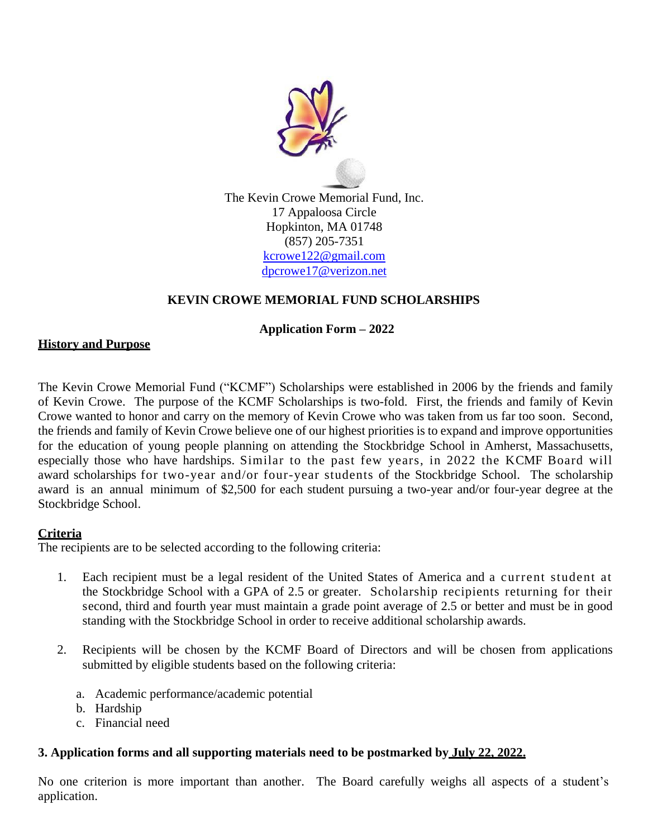

### **KEVIN CROWE MEMORIAL FUND SCHOLARSHIPS**

### **Application Form – 2022**

#### **History and Purpose**

The Kevin Crowe Memorial Fund ("KCMF") Scholarships were established in 2006 by the friends and family of Kevin Crowe. The purpose of the KCMF Scholarships is two-fold. First, the friends and family of Kevin Crowe wanted to honor and carry on the memory of Kevin Crowe who was taken from us far too soon. Second, the friends and family of Kevin Crowe believe one of our highest priorities is to expand and improve opportunities for the education of young people planning on attending the Stockbridge School in Amherst, Massachusetts, especially those who have hardships. Similar to the past few years, in 2022 the KCMF Board will award scholarships for two-year and/or four-year students of the Stockbridge School. The scholarship award is an annual minimum of \$2,500 for each student pursuing a two-year and/or four-year degree at the Stockbridge School.

### **Criteria**

The recipients are to be selected according to the following criteria:

- 1. Each recipient must be a legal resident of the United States of America and a current student at the Stockbridge School with a GPA of 2.5 or greater. Scholarship recipients returning for their second, third and fourth year must maintain a grade point average of 2.5 or better and must be in good standing with the Stockbridge School in order to receive additional scholarship awards.
- 2. Recipients will be chosen by the KCMF Board of Directors and will be chosen from applications submitted by eligible students based on the following criteria:
	- a. Academic performance/academic potential
	- b. Hardship
	- c. Financial need

## **3. Application forms and all supporting materials need to be postmarked by July 22, 2022.**

No one criterion is more important than another. The Board carefully weighs all aspects of a student's application.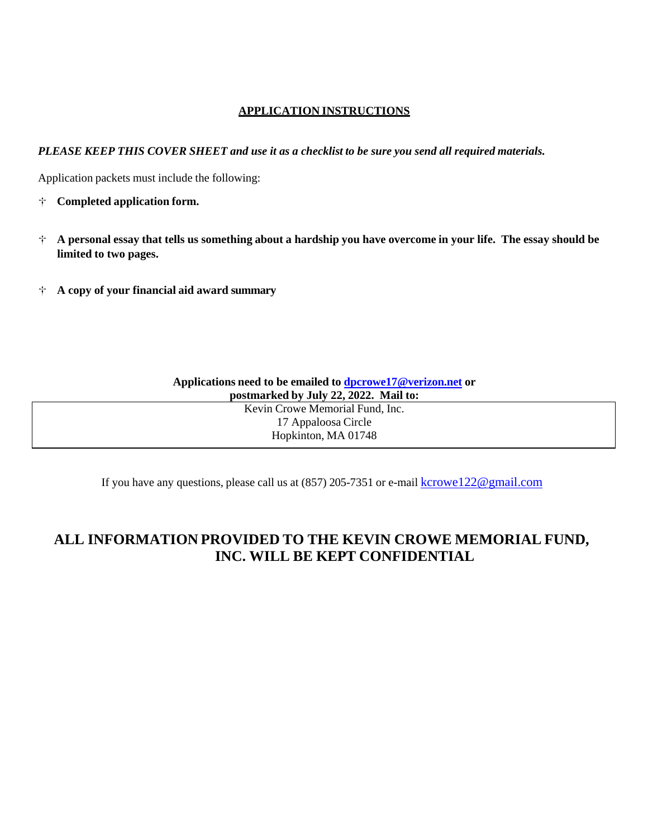#### **APPLICATION INSTRUCTIONS**

PLEASE KEEP THIS COVER SHEET and use it as a checklist to be sure you send all required materials.

Application packets must include the following:

- **Completed application form.**
- $\dot{\tau}$  A personal essay that tells us something about a hardship you have overcome in your life. The essay should be **limited to two pages.**
- **<sup>A</sup> copy of your financial aid award summary**

| Applications need to be emailed to $dpcrowel7@verizon.net$ or |  |  |  |
|---------------------------------------------------------------|--|--|--|
| postmarked by July 22, 2022. Mail to:                         |  |  |  |
| Kevin Crowe Memorial Fund, Inc.                               |  |  |  |
| 17 Appaloosa Circle                                           |  |  |  |
| Hopkinton, MA 01748                                           |  |  |  |

If you have any questions, please call us at (857) 205-7351 or e-mail [kcrowe122@gmail.com](mailto:kcrowe122@gmail.com)

# **ALL INFORMATION PROVIDED TO THE KEVIN CROWE MEMORIAL FUND, INC. WILL BE KEPT CONFIDENTIAL**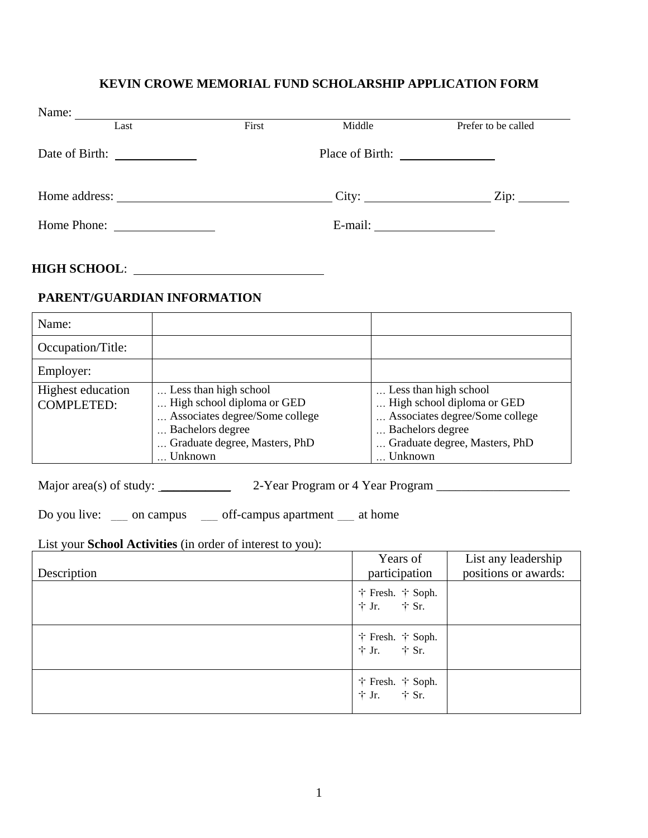### **KEVIN CROWE MEMORIAL FUND SCHOLARSHIP APPLICATION FORM**

| Name:          |                                                                                                                      |       |                 |                     |
|----------------|----------------------------------------------------------------------------------------------------------------------|-------|-----------------|---------------------|
|                | Last                                                                                                                 | First | Middle          | Prefer to be called |
| Date of Birth: | <u> 1990 - Jan Jawa Barat, pre</u>                                                                                   |       | Place of Birth: |                     |
| Home address:  | <u> 1980 - Jan Barbara Barbara, prima popular popular popular popular popular popular popular popular popular po</u> |       |                 | $\chi$ ip:          |
|                | Home Phone:                                                                                                          |       | E-mail:         |                     |

### **HIGH SCHOOL**:

### **PARENT/GUARDIAN INFORMATION**

| Name:                                  |                                                                                                                                                       |                                                                                                                                                       |
|----------------------------------------|-------------------------------------------------------------------------------------------------------------------------------------------------------|-------------------------------------------------------------------------------------------------------------------------------------------------------|
| Occupation/Title:                      |                                                                                                                                                       |                                                                                                                                                       |
| Employer:                              |                                                                                                                                                       |                                                                                                                                                       |
| Highest education<br><b>COMPLETED:</b> | Less than high school<br>High school diploma or GED<br>Associates degree/Some college<br>Bachelors degree<br>Graduate degree, Masters, PhD<br>Unknown | Less than high school<br>High school diploma or GED<br>Associates degree/Some college<br>Bachelors degree<br>Graduate degree, Masters, PhD<br>Unknown |

Major area(s) of study: \_\_\_\_\_\_\_\_\_\_\_\_\_\_\_ 2-Year Program or 4 Year Program \_\_\_\_\_\_\_\_\_\_\_\_\_\_\_\_\_\_\_\_\_\_\_\_\_\_

Do you live: \_\_\_ on campus \_\_\_ off-campus apartment \_\_ at home

#### List your **School Activities** (in order of interest to you):

| Description | Years of<br>participation                                       | List any leadership<br>positions or awards: |
|-------------|-----------------------------------------------------------------|---------------------------------------------|
|             | $\dagger$ Fresh. $\dagger$ Soph.<br>$\dagger$ Jr. $\dagger$ Sr. |                                             |
|             | $\dagger$ Fresh. $\dagger$ Soph.<br>$\dagger$ Jr. $\dagger$ Sr. |                                             |
|             | $\dagger$ Fresh. $\dagger$ Soph.<br>$\dagger$ Jr. $\dagger$ Sr. |                                             |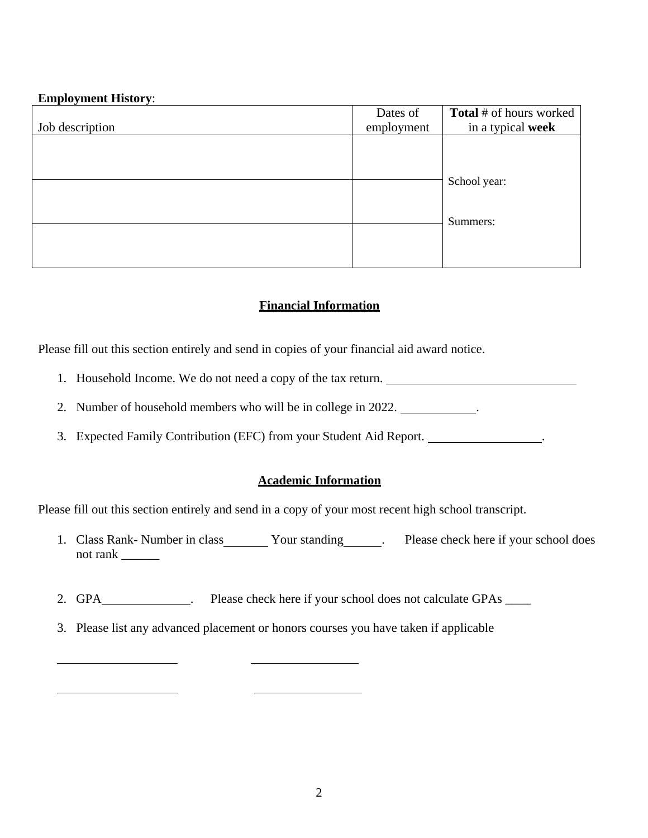### **Employment History**:

|                 | Dates of   | <b>Total</b> # of hours worked |
|-----------------|------------|--------------------------------|
| Job description | employment | in a typical week              |
|                 |            |                                |
|                 |            |                                |
|                 |            | School year:                   |
|                 |            |                                |
|                 |            |                                |
|                 |            |                                |
|                 |            | Summers:                       |
|                 |            |                                |
|                 |            |                                |
|                 |            |                                |

### **Financial Information**

Please fill out this section entirely and send in copies of your financial aid award notice.

- 1. Household Income. We do not need a copy of the tax return.
- 2. Number of household members who will be in college in 2022.
- 3. Expected Family Contribution (EFC) from your Student Aid Report. .

### **Academic Information**

Please fill out this section entirely and send in a copy of your most recent high school transcript.

- 1. Class Rank- Number in class **Your standing Please check here if your school does** not rank \_\_\_\_\_\_
- 2. GPA . Please check here if your school does not calculate GPAs ...............
- 3. Please list any advanced placement or honors courses you have taken if applicable